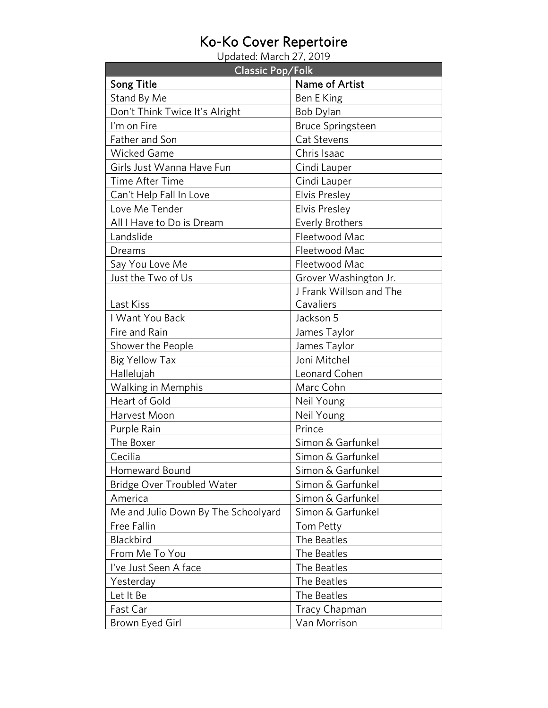## Ko-Ko Cover Repertoire<br>Updated: March 27, 2019

| <b>Classic Pop/Folk</b>             |                          |
|-------------------------------------|--------------------------|
| <b>Song Title</b>                   | <b>Name of Artist</b>    |
| Stand By Me                         | Ben E King               |
| Don't Think Twice It's Alright      | Bob Dylan                |
| I'm on Fire                         | <b>Bruce Springsteen</b> |
| Father and Son                      | Cat Stevens              |
| <b>Wicked Game</b>                  | Chris Isaac              |
| Girls Just Wanna Have Fun           | Cindi Lauper             |
| <b>Time After Time</b>              | Cindi Lauper             |
| Can't Help Fall In Love             | <b>Elvis Presley</b>     |
| Love Me Tender                      | <b>Elvis Presley</b>     |
| All I Have to Do is Dream           | <b>Everly Brothers</b>   |
| Landslide                           | Fleetwood Mac            |
| Dreams                              | Fleetwood Mac            |
| Say You Love Me                     | Fleetwood Mac            |
| Just the Two of Us                  | Grover Washington Jr.    |
|                                     | J Frank Willson and The  |
| Last Kiss                           | Cavaliers                |
| I Want You Back                     | Jackson 5                |
| Fire and Rain                       | James Taylor             |
| Shower the People                   | James Taylor             |
| <b>Big Yellow Tax</b>               | Joni Mitchel             |
| Hallelujah                          | Leonard Cohen            |
| <b>Walking in Memphis</b>           | Marc Cohn                |
| <b>Heart of Gold</b>                | Neil Young               |
| Harvest Moon                        | Neil Young               |
| Purple Rain                         | Prince                   |
| The Boxer                           | Simon & Garfunkel        |
| Cecilia                             | Simon & Garfunkel        |
| Homeward Bound                      | Simon & Garfunkel        |
| <b>Bridge Over Troubled Water</b>   | Simon & Garfunkel        |
| America                             | Simon & Garfunkel        |
| Me and Julio Down By The Schoolyard | Simon & Garfunkel        |
| Free Fallin                         | Tom Petty                |
| Blackbird                           | The Beatles              |
| From Me To You                      | The Beatles              |
| I've Just Seen A face               | The Beatles              |
| Yesterday                           | The Beatles              |
| Let It Be                           | The Beatles              |
| Fast Car                            | <b>Tracy Chapman</b>     |
| Brown Eyed Girl                     | Van Morrison             |